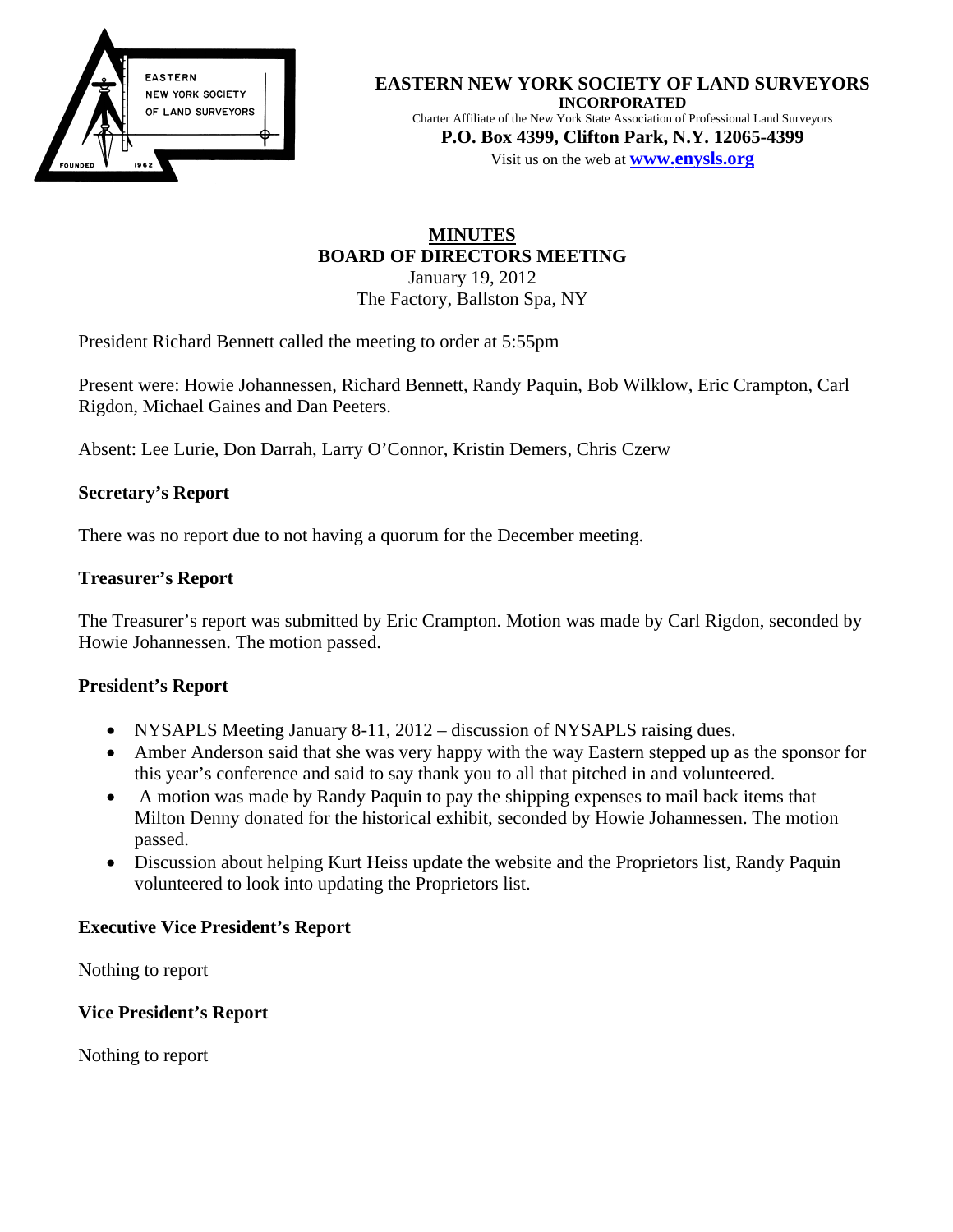

#### **EASTERN NEW YORK SOCIETY OF LAND SURVEYORS INCORPORATED**  Charter Affiliate of the New York State Association of Professional Land Surveyors

**P.O. Box 4399, Clifton Park, N.Y. 12065-4399**  Visit us on the web at **[www.e](http://www.enysls.org/)nysls.org**

# **MINUTES BOARD OF DIRECTORS MEETING**  January 19, 2012 The Factory, Ballston Spa, NY

President Richard Bennett called the meeting to order at 5:55pm

Present were: Howie Johannessen, Richard Bennett, Randy Paquin, Bob Wilklow, Eric Crampton, Carl Rigdon, Michael Gaines and Dan Peeters.

Absent: Lee Lurie, Don Darrah, Larry O'Connor, Kristin Demers, Chris Czerw

# **Secretary's Report**

There was no report due to not having a quorum for the December meeting.

### **Treasurer's Report**

The Treasurer's report was submitted by Eric Crampton. Motion was made by Carl Rigdon, seconded by Howie Johannessen. The motion passed.

## **President's Report**

- NYSAPLS Meeting January 8-11, 2012 discussion of NYSAPLS raising dues.
- Amber Anderson said that she was very happy with the way Eastern stepped up as the sponsor for this year's conference and said to say thank you to all that pitched in and volunteered.
- A motion was made by Randy Paquin to pay the shipping expenses to mail back items that Milton Denny donated for the historical exhibit, seconded by Howie Johannessen. The motion passed.
- Discussion about helping Kurt Heiss update the website and the Proprietors list, Randy Paquin volunteered to look into updating the Proprietors list.

## **Executive Vice President's Report**

Nothing to report

## **Vice President's Report**

Nothing to report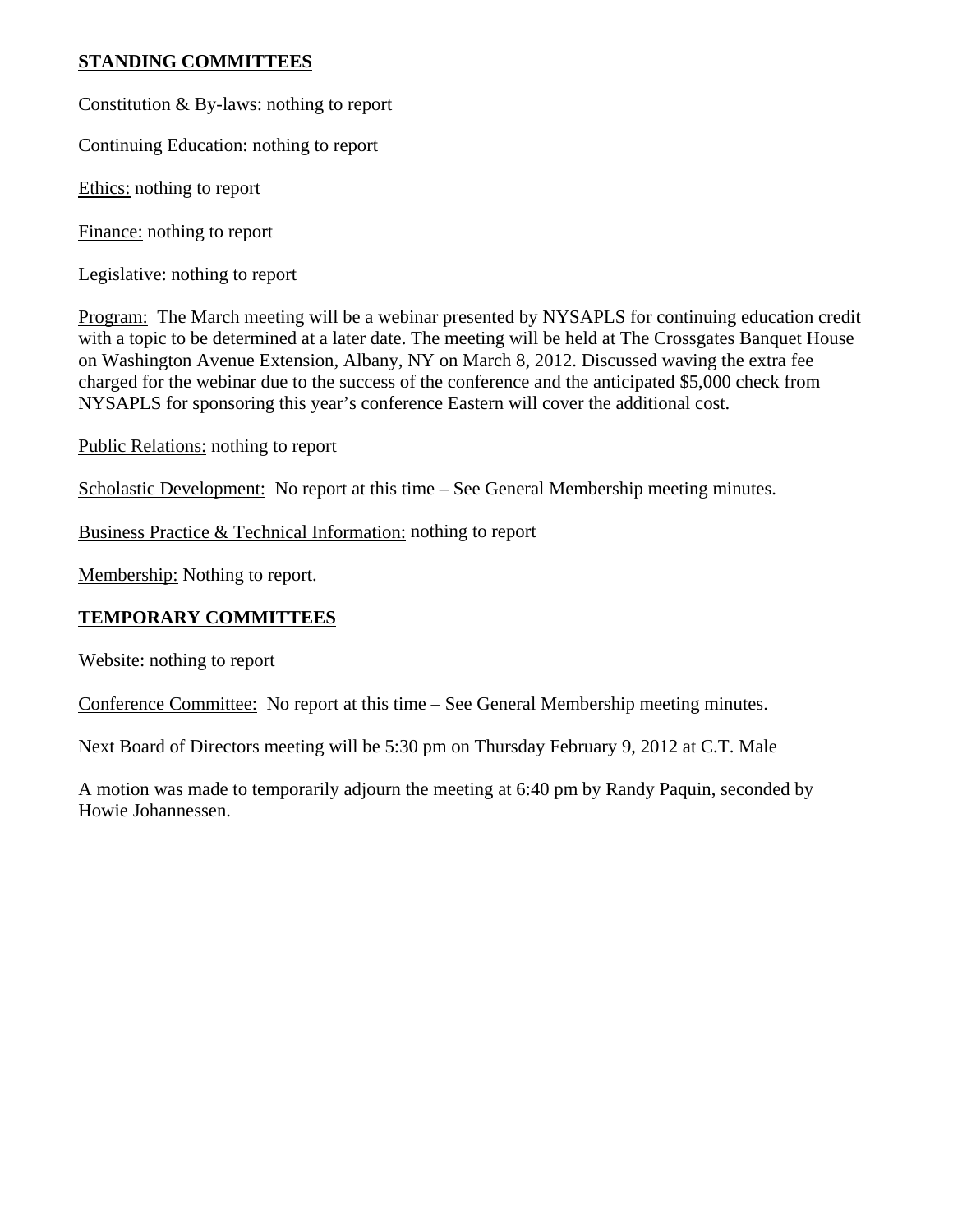# **STANDING COMMITTEES**

Constitution & By-laws: nothing to report

Continuing Education: nothing to report

Ethics: nothing to report

Finance: nothing to report

Legislative: nothing to report

Program: The March meeting will be a webinar presented by NYSAPLS for continuing education credit with a topic to be determined at a later date. The meeting will be held at The Crossgates Banquet House on Washington Avenue Extension, Albany, NY on March 8, 2012. Discussed waving the extra fee charged for the webinar due to the success of the conference and the anticipated \$5,000 check from NYSAPLS for sponsoring this year's conference Eastern will cover the additional cost.

Public Relations: nothing to report

Scholastic Development: No report at this time – See General Membership meeting minutes.

Business Practice & Technical Information: nothing to report

Membership: Nothing to report.

## **TEMPORARY COMMITTEES**

Website: nothing to report

Conference Committee: No report at this time – See General Membership meeting minutes.

Next Board of Directors meeting will be 5:30 pm on Thursday February 9, 2012 at C.T. Male

A motion was made to temporarily adjourn the meeting at 6:40 pm by Randy Paquin, seconded by Howie Johannessen.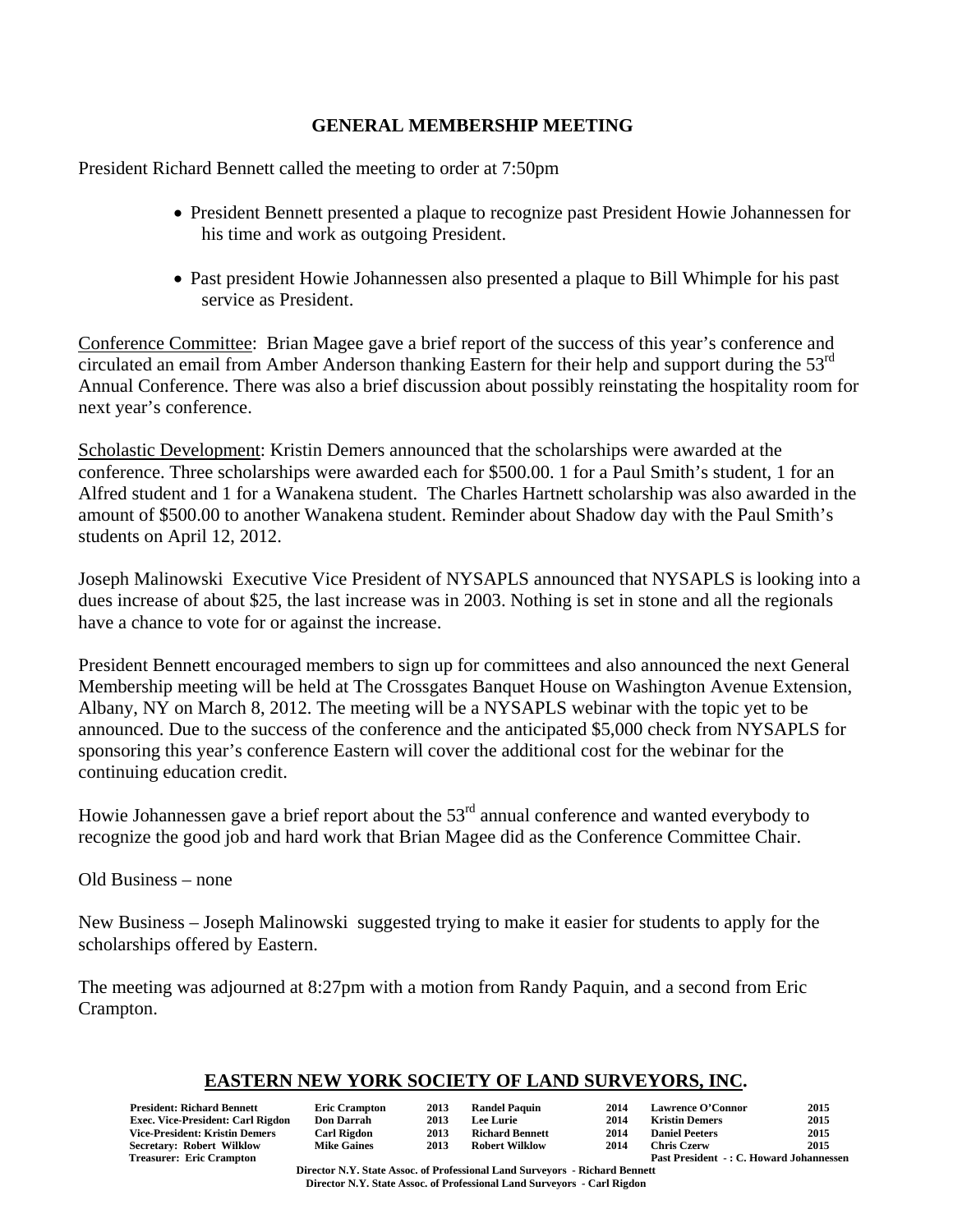### **GENERAL MEMBERSHIP MEETING**

President Richard Bennett called the meeting to order at 7:50pm

- President Bennett presented a plaque to recognize past President Howie Johannessen for his time and work as outgoing President.
- Past president Howie Johannessen also presented a plaque to Bill Whimple for his past service as President.

Conference Committee: Brian Magee gave a brief report of the success of this year's conference and circulated an email from Amber Anderson thanking Eastern for their help and support during the 53<sup>rd</sup> Annual Conference. There was also a brief discussion about possibly reinstating the hospitality room for next year's conference.

Scholastic Development: Kristin Demers announced that the scholarships were awarded at the conference. Three scholarships were awarded each for \$500.00. 1 for a Paul Smith's student, 1 for an Alfred student and 1 for a Wanakena student. The Charles Hartnett scholarship was also awarded in the amount of \$500.00 to another Wanakena student. Reminder about Shadow day with the Paul Smith's students on April 12, 2012.

Joseph Malinowski Executive Vice President of NYSAPLS announced that NYSAPLS is looking into a dues increase of about \$25, the last increase was in 2003. Nothing is set in stone and all the regionals have a chance to vote for or against the increase.

President Bennett encouraged members to sign up for committees and also announced the next General Membership meeting will be held at The Crossgates Banquet House on Washington Avenue Extension, Albany, NY on March 8, 2012. The meeting will be a NYSAPLS webinar with the topic yet to be announced. Due to the success of the conference and the anticipated \$5,000 check from NYSAPLS for sponsoring this year's conference Eastern will cover the additional cost for the webinar for the continuing education credit.

Howie Johannessen gave a brief report about the 53<sup>rd</sup> annual conference and wanted everybody to recognize the good job and hard work that Brian Magee did as the Conference Committee Chair.

Old Business – none

New Business – Joseph Malinowski suggested trying to make it easier for students to apply for the scholarships offered by Eastern.

The meeting was adjourned at 8:27pm with a motion from Randy Paquin, and a second from Eric Crampton.

#### **EASTERN NEW YORK SOCIETY OF LAND SURVEYORS, INC.**

| <b>President: Richard Bennett</b>        | <b>Eric Crampton</b> | 2013 | <b>Randel Paquin</b>   | 2014 | Lawrence O'Connor                       | 2015 |
|------------------------------------------|----------------------|------|------------------------|------|-----------------------------------------|------|
| <b>Exec. Vice-President: Carl Rigdon</b> | <b>Don Darrah</b>    | 2013 | <b>Lee Lurie</b>       | 2014 | <b>Kristin Demers</b>                   | 2015 |
| <b>Vice-President: Kristin Demers</b>    | <b>Carl Rigdon</b>   | 2013 | <b>Richard Bennett</b> | 2014 | <b>Daniel Peeters</b>                   | 2015 |
| Secretary: Robert Wilklow                | <b>Mike Gaines</b>   | 2013 | <b>Robert Wilklow</b>  | 2014 | Chris Czerw                             | 2015 |
| <b>Treasurer: Eric Crampton</b>          |                      |      |                        |      | Past President -: C. Howard Johannessen |      |

**Director N.Y. State Assoc. of Professional Land Surveyors - Richard Bennett Director N.Y. State Assoc. of Professional Land Surveyors - Carl Rigdon**